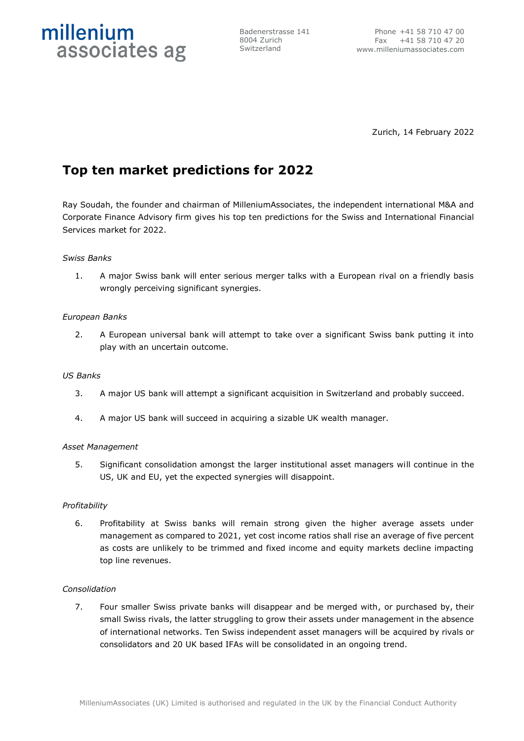

Badenerstrasse 141 8004 Zurich Switzerland

Zurich, 14 February 2022

# **Top ten market predictions for 2022**

Ray Soudah, the founder and chairman of MilleniumAssociates, the independent international M&A and Corporate Finance Advisory firm gives his top ten predictions for the Swiss and International Financial Services market for 2022.

# *Swiss Banks*

1. A major Swiss bank will enter serious merger talks with a European rival on a friendly basis wrongly perceiving significant synergies.

# *European Banks*

2. A European universal bank will attempt to take over a significant Swiss bank putting it into play with an uncertain outcome.

# *US Banks*

- 3. A major US bank will attempt a significant acquisition in Switzerland and probably succeed.
- 4. A major US bank will succeed in acquiring a sizable UK wealth manager.

# *Asset Management*

5. Significant consolidation amongst the larger institutional asset managers will continue in the US, UK and EU, yet the expected synergies will disappoint.

# *Profitability*

6. Profitability at Swiss banks will remain strong given the higher average assets under management as compared to 2021, yet cost income ratios shall rise an average of five percent as costs are unlikely to be trimmed and fixed income and equity markets decline impacting top line revenues.

# *Consolidation*

7. Four smaller Swiss private banks will disappear and be merged with, or purchased by, their small Swiss rivals, the latter struggling to grow their assets under management in the absence of international networks. Ten Swiss independent asset managers will be acquired by rivals or consolidators and 20 UK based IFAs will be consolidated in an ongoing trend.